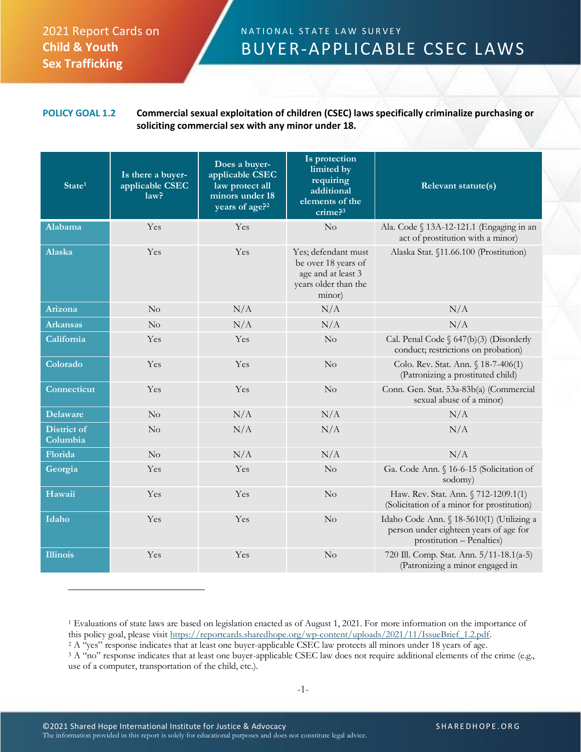## 2021 Report Cards on **Child & Youth Sex Trafficking**

## N A T I O N A L S T A T E L A W S U R V E Y BUYER-APPLICABLE CSEC LAWS

## **POLICY GOAL 1.2 Commercial sexual exploitation of children (CSEC) laws specifically criminalize purchasing or soliciting commercial sex with any minor under 18.**

| State <sup>1</sup>             | Is there a buyer-<br>applicable CSEC<br>law <sup>2</sup> | Does a buyer-<br>applicable CSEC<br>law protect all<br>minors under 18<br>years of age? <sup>2</sup> | Is protection<br>limited by<br>requiring<br>additional<br>elements of the<br>crime <sup>3</sup>    | Relevant statute(s)                                                                                              |
|--------------------------------|----------------------------------------------------------|------------------------------------------------------------------------------------------------------|----------------------------------------------------------------------------------------------------|------------------------------------------------------------------------------------------------------------------|
| <b>Alabama</b>                 | Yes                                                      | Yes                                                                                                  | No                                                                                                 | Ala. Code § 13A-12-121.1 (Engaging in an<br>act of prostitution with a minor)                                    |
| <b>Alaska</b>                  | Yes                                                      | Yes                                                                                                  | Yes; defendant must<br>be over 18 years of<br>age and at least 3<br>years older than the<br>minor) | Alaska Stat. §11.66.100 (Prostitution)                                                                           |
| Arizona                        | No                                                       | N/A                                                                                                  | N/A                                                                                                | N/A                                                                                                              |
| <b>Arkansas</b>                | No                                                       | N/A                                                                                                  | N/A                                                                                                | N/A                                                                                                              |
| California                     | Yes                                                      | Yes                                                                                                  | No                                                                                                 | Cal. Penal Code § 647(b)(3) (Disorderly<br>conduct; restrictions on probation)                                   |
| Colorado                       | Yes                                                      | Yes                                                                                                  | No                                                                                                 | Colo. Rev. Stat. Ann. § 18-7-406(1)<br>(Patronizing a prostituted child)                                         |
| Connecticut                    | Yes                                                      | Yes                                                                                                  | No                                                                                                 | Conn. Gen. Stat. 53a-83b(a) (Commercial<br>sexual abuse of a minor)                                              |
| <b>Delaware</b>                | No                                                       | N/A                                                                                                  | N/A                                                                                                | N/A                                                                                                              |
| <b>District of</b><br>Columbia | No                                                       | N/A                                                                                                  | N/A                                                                                                | N/A                                                                                                              |
| Florida                        | No                                                       | N/A                                                                                                  | N/A                                                                                                | N/A                                                                                                              |
| Georgia                        | Yes                                                      | Yes                                                                                                  | No                                                                                                 | Ga. Code Ann. § 16-6-15 (Solicitation of<br>sodomy)                                                              |
| Hawaii                         | Yes                                                      | Yes                                                                                                  | No                                                                                                 | Haw. Rev. Stat. Ann. § 712-1209.1(1)<br>(Solicitation of a minor for prostitution)                               |
| Idaho                          | Yes                                                      | Yes                                                                                                  | No                                                                                                 | Idaho Code Ann. § 18-5610(1) (Utilizing a<br>person under eighteen years of age for<br>prostitution - Penalties) |
| <b>Illinois</b>                | Yes                                                      | Yes                                                                                                  | No                                                                                                 | 720 Ill. Comp. Stat. Ann. 5/11-18.1(a-5)<br>(Patronizing a minor engaged in                                      |

<sup>1</sup> Evaluations of state laws are based on legislation enacted as of August 1, 2021. For more information on the importance of this policy goal, please visit [https://reportcards.sharedhope.org/wp-content/uploads/2021/11/IssueBrief\\_1.2.pdf.](https://reportcards.sharedhope.org/wp-content/uploads/2021/11/IssueBrief_1.2.pdf)

<sup>&</sup>lt;sup>2</sup> A "yes" response indicates that at least one buyer-applicable CSEC law protects all minors under 18 years of age.

<sup>&</sup>lt;sup>3</sup> A "no" response indicates that at least one buyer-applicable CSEC law does not require additional elements of the crime (e.g., use of a computer, transportation of the child, etc.).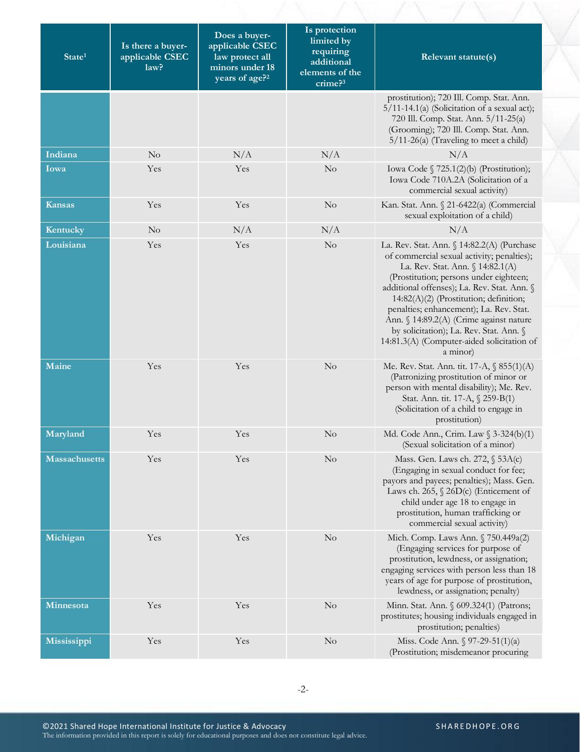| State <sup>1</sup>   | Is there a buyer-<br>applicable CSEC<br>law? | Does a buyer-<br>applicable CSEC<br>law protect all<br>minors under 18<br>years of age? <sup>2</sup> | Is protection<br>limited by<br>requiring<br>additional<br>elements of the<br>crime? <sup>3</sup> | Relevant statute(s)                                                                                                                                                                                                                                                                                                                                                                                                                                        |
|----------------------|----------------------------------------------|------------------------------------------------------------------------------------------------------|--------------------------------------------------------------------------------------------------|------------------------------------------------------------------------------------------------------------------------------------------------------------------------------------------------------------------------------------------------------------------------------------------------------------------------------------------------------------------------------------------------------------------------------------------------------------|
|                      |                                              |                                                                                                      |                                                                                                  | prostitution); 720 Ill. Comp. Stat. Ann.<br>$5/11-14.1(a)$ (Solicitation of a sexual act);<br>720 Ill. Comp. Stat. Ann. 5/11-25(a)<br>(Grooming); 720 Ill. Comp. Stat. Ann.<br>$5/11-26(a)$ (Traveling to meet a child)                                                                                                                                                                                                                                    |
| Indiana              | $\rm No$                                     | N/A                                                                                                  | N/A                                                                                              | N/A                                                                                                                                                                                                                                                                                                                                                                                                                                                        |
| Iowa                 | Yes                                          | Yes                                                                                                  | $\rm No$                                                                                         | Iowa Code § 725.1(2)(b) (Prostitution);<br>Iowa Code 710A.2A (Solicitation of a<br>commercial sexual activity)                                                                                                                                                                                                                                                                                                                                             |
| <b>Kansas</b>        | Yes                                          | Yes                                                                                                  | No                                                                                               | Kan. Stat. Ann. § 21-6422(a) (Commercial<br>sexual exploitation of a child)                                                                                                                                                                                                                                                                                                                                                                                |
| Kentucky             | N <sub>o</sub>                               | N/A                                                                                                  | N/A                                                                                              | N/A                                                                                                                                                                                                                                                                                                                                                                                                                                                        |
| Louisiana            | Yes                                          | Yes                                                                                                  | N <sub>o</sub>                                                                                   | La. Rev. Stat. Ann. § 14:82.2(A) (Purchase<br>of commercial sexual activity; penalties);<br>La. Rev. Stat. Ann. § 14:82.1(A)<br>(Prostitution; persons under eighteen;<br>additional offenses); La. Rev. Stat. Ann. §<br>14:82(A)(2) (Prostitution; definition;<br>penalties; enhancement); La. Rev. Stat.<br>Ann. § 14:89.2(A) (Crime against nature<br>by solicitation); La. Rev. Stat. Ann. §<br>14:81.3(A) (Computer-aided solicitation of<br>a minor) |
| Maine                | Yes                                          | Yes                                                                                                  | No                                                                                               | Me. Rev. Stat. Ann. tit. 17-A, $\S$ 855(1)(A)<br>(Patronizing prostitution of minor or<br>person with mental disability); Me. Rev.<br>Stat. Ann. tit. 17-A, § 259-B(1)<br>(Solicitation of a child to engage in<br>prostitution)                                                                                                                                                                                                                           |
| Maryland             | Yes                                          | Yes                                                                                                  | $\rm No$                                                                                         | Md. Code Ann., Crim. Law § 3-324(b)(1)<br>(Sexual solicitation of a minor)                                                                                                                                                                                                                                                                                                                                                                                 |
| <b>Massachusetts</b> | Yes                                          | Yes                                                                                                  | No                                                                                               | Mass. Gen. Laws ch. 272, § 53A(c)<br>(Engaging in sexual conduct for fee;<br>payors and payees; penalties); Mass. Gen.<br>Laws ch. 265, $\S$ 26D(c) (Enticement of<br>child under age 18 to engage in<br>prostitution, human trafficking or<br>commercial sexual activity)                                                                                                                                                                                 |
| Michigan             | Yes                                          | Yes                                                                                                  | $\rm No$                                                                                         | Mich. Comp. Laws Ann. § 750.449a(2)<br>(Engaging services for purpose of<br>prostitution, lewdness, or assignation;<br>engaging services with person less than 18<br>years of age for purpose of prostitution,<br>lewdness, or assignation; penalty)                                                                                                                                                                                                       |
| Minnesota            | Yes                                          | Yes                                                                                                  | $\rm No$                                                                                         | Minn. Stat. Ann. § 609.324(1) (Patrons;<br>prostitutes; housing individuals engaged in<br>prostitution; penalties)                                                                                                                                                                                                                                                                                                                                         |
| Mississippi          | Yes                                          | Yes                                                                                                  | $\rm No$                                                                                         | Miss. Code Ann. $\sqrt{97-29-51(1)(a)}$<br>(Prostitution; misdemeanor procuring                                                                                                                                                                                                                                                                                                                                                                            |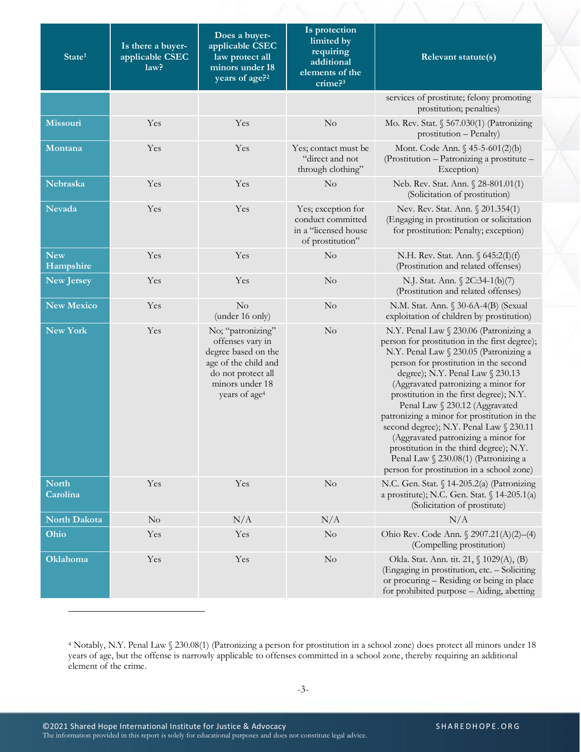| State <sup>1</sup>       | Is there a buyer-<br>applicable CSEC<br>law? | Does a buyer-<br>applicable CSEC<br>law protect all<br>minors under 18<br>years of age? <sup>2</sup>                                                       | Is protection<br>limited by<br>requiring<br>additional<br>elements of the<br>$\text{c$ rime? $3$ | Relevant statute(s)                                                                                                                                                                                                                                                                                                                                                                                                                                                                                                                                                                                 |
|--------------------------|----------------------------------------------|------------------------------------------------------------------------------------------------------------------------------------------------------------|--------------------------------------------------------------------------------------------------|-----------------------------------------------------------------------------------------------------------------------------------------------------------------------------------------------------------------------------------------------------------------------------------------------------------------------------------------------------------------------------------------------------------------------------------------------------------------------------------------------------------------------------------------------------------------------------------------------------|
|                          |                                              |                                                                                                                                                            |                                                                                                  | services of prostitute; felony promoting<br>prostitution; penalties)                                                                                                                                                                                                                                                                                                                                                                                                                                                                                                                                |
| Missouri                 | Yes                                          | Yes                                                                                                                                                        | No                                                                                               | Mo. Rev. Stat. $$567.030(1)$ (Patronizing<br>prostitution - Penalty)                                                                                                                                                                                                                                                                                                                                                                                                                                                                                                                                |
| Montana                  | Yes                                          | Yes                                                                                                                                                        | Yes; contact must be<br>"direct and not<br>through clothing"                                     | Mont. Code Ann. § 45-5-601(2)(b)<br>(Prostitution - Patronizing a prostitute -<br>Exception)                                                                                                                                                                                                                                                                                                                                                                                                                                                                                                        |
| Nebraska                 | Yes                                          | Yes                                                                                                                                                        | N <sub>o</sub>                                                                                   | Neb. Rev. Stat. Ann. § 28-801.01(1)<br>(Solicitation of prostitution)                                                                                                                                                                                                                                                                                                                                                                                                                                                                                                                               |
| <b>Nevada</b>            | Yes                                          | Yes                                                                                                                                                        | Yes; exception for<br>conduct committed<br>in a "licensed house<br>of prostitution"              | Nev. Rev. Stat. Ann. § 201.354(1)<br>(Engaging in prostitution or solicitation<br>for prostitution: Penalty; exception)                                                                                                                                                                                                                                                                                                                                                                                                                                                                             |
| <b>New</b><br>Hampshire  | Yes                                          | Yes                                                                                                                                                        | $\rm No$                                                                                         | N.H. Rev. Stat. Ann. § 645:2(I)(f)<br>(Prostitution and related offenses)                                                                                                                                                                                                                                                                                                                                                                                                                                                                                                                           |
| <b>New Jersey</b>        | Yes                                          | Yes                                                                                                                                                        | N <sub>o</sub>                                                                                   | N.J. Stat. Ann. § 2C:34-1(b)(7)<br>(Prostitution and related offenses)                                                                                                                                                                                                                                                                                                                                                                                                                                                                                                                              |
| <b>New Mexico</b>        | Yes                                          | No<br>(under 16 only)                                                                                                                                      | N <sub>o</sub>                                                                                   | N.M. Stat. Ann. § 30-6A-4(B) (Sexual<br>exploitation of children by prostitution)                                                                                                                                                                                                                                                                                                                                                                                                                                                                                                                   |
| <b>New York</b>          | Yes                                          | No; "patronizing"<br>offenses vary in<br>degree based on the<br>age of the child and<br>do not protect all<br>minors under 18<br>years of age <sup>4</sup> | N <sub>o</sub>                                                                                   | N.Y. Penal Law § 230.06 (Patronizing a<br>person for prostitution in the first degree);<br>N.Y. Penal Law § 230.05 (Patronizing a<br>person for prostitution in the second<br>degree); N.Y. Penal Law § 230.13<br>(Aggravated patronizing a minor for<br>prostitution in the first degree); N.Y.<br>Penal Law § 230.12 (Aggravated<br>patronizing a minor for prostitution in the<br>second degree); N.Y. Penal Law § 230.11<br>(Aggravated patronizing a minor for<br>prostitution in the third degree); N.Y.<br>Penal Law § 230.08(1) (Patronizing a<br>person for prostitution in a school zone) |
| <b>North</b><br>Carolina | Yes                                          | Yes                                                                                                                                                        | $\rm No$                                                                                         | N.C. Gen. Stat. § 14-205.2(a) (Patronizing<br>a prostitute); N.C. Gen. Stat. § 14-205.1(a)<br>(Solicitation of prostitute)                                                                                                                                                                                                                                                                                                                                                                                                                                                                          |
| North Dakota             | $\rm No$                                     | N/A                                                                                                                                                        | N/A                                                                                              | N/A                                                                                                                                                                                                                                                                                                                                                                                                                                                                                                                                                                                                 |
| Ohio                     | Yes                                          | Yes                                                                                                                                                        | N <sub>o</sub>                                                                                   | Ohio Rev. Code Ann. § 2907.21(A)(2)-(4)<br>(Compelling prostitution)                                                                                                                                                                                                                                                                                                                                                                                                                                                                                                                                |
| Oklahoma                 | Yes                                          | Yes                                                                                                                                                        | $\rm No$                                                                                         | Okla. Stat. Ann. tit. 21, § 1029(A), (B)<br>(Engaging in prostitution, etc. - Soliciting<br>or procuring - Residing or being in place<br>for prohibited purpose - Aiding, abetting                                                                                                                                                                                                                                                                                                                                                                                                                  |

<sup>4</sup> Notably, N.Y. Penal Law § 230.08(1) (Patronizing a person for prostitution in a school zone) does protect all minors under 18 years of age, but the offense is narrowly applicable to offenses committed in a school zone, thereby requiring an additional element of the crime.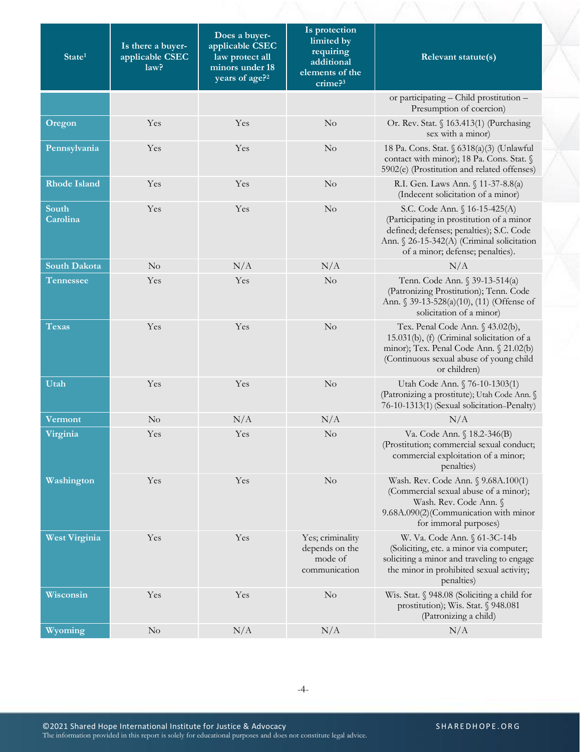| State <sup>1</sup>   | Is there a buyer-<br>applicable CSEC<br>law? | Does a buyer-<br>applicable CSEC<br>law protect all<br>minors under 18<br>years of age? <sup>2</sup> | Is protection<br>limited by<br>requiring<br>additional<br>elements of the<br>$\text{c$ rime? $3$ | Relevant statute(s)                                                                                                                                                                                      |
|----------------------|----------------------------------------------|------------------------------------------------------------------------------------------------------|--------------------------------------------------------------------------------------------------|----------------------------------------------------------------------------------------------------------------------------------------------------------------------------------------------------------|
|                      |                                              |                                                                                                      |                                                                                                  | or participating - Child prostitution -<br>Presumption of coercion)                                                                                                                                      |
| Oregon               | Yes                                          | Yes                                                                                                  | No                                                                                               | Or. Rev. Stat. § 163.413(1) (Purchasing<br>sex with a minor)                                                                                                                                             |
| Pennsylvania         | Yes                                          | Yes                                                                                                  | No                                                                                               | 18 Pa. Cons. Stat. § 6318(a)(3) (Unlawful<br>contact with minor); 18 Pa. Cons. Stat. §<br>5902(e) (Prostitution and related offenses)                                                                    |
| <b>Rhode Island</b>  | Yes                                          | Yes                                                                                                  | $\rm No$                                                                                         | R.I. Gen. Laws Ann. § 11-37-8.8(a)<br>(Indecent solicitation of a minor)                                                                                                                                 |
| South<br>Carolina    | Yes                                          | Yes                                                                                                  | No                                                                                               | S.C. Code Ann. § 16-15-425(A)<br>(Participating in prostitution of a minor<br>defined; defenses; penalties); S.C. Code<br>Ann. § 26-15-342(A) (Criminal solicitation<br>of a minor; defense; penalties). |
| <b>South Dakota</b>  | No                                           | N/A                                                                                                  | N/A                                                                                              | N/A                                                                                                                                                                                                      |
| <b>Tennessee</b>     | Yes                                          | Yes                                                                                                  | $\rm No$                                                                                         | Tenn. Code Ann. § 39-13-514(a)<br>(Patronizing Prostitution); Tenn. Code<br>Ann. § 39-13-528(a)(10), (11) (Offense of<br>solicitation of a minor)                                                        |
| <b>Texas</b>         | Yes                                          | Yes                                                                                                  | No                                                                                               | Tex. Penal Code Ann. § 43.02(b),<br>15.031(b), (f) (Criminal solicitation of a<br>minor); Tex. Penal Code Ann. § 21.02(b)<br>(Continuous sexual abuse of young child<br>or children)                     |
| Utah                 | Yes                                          | Yes                                                                                                  | $\rm No$                                                                                         | Utah Code Ann. § 76-10-1303(1)<br>(Patronizing a prostitute); Utah Code Ann. §<br>76-10-1313(1) (Sexual solicitation-Penalty)                                                                            |
| <b>Vermont</b>       | No                                           | N/A                                                                                                  | N/A                                                                                              | N/A                                                                                                                                                                                                      |
| Virginia             | Yes                                          | Yes                                                                                                  | N <sub>o</sub>                                                                                   | Va. Code Ann. § 18.2-346(B)<br>(Prostitution; commercial sexual conduct;<br>commercial exploitation of a minor;<br>penalties)                                                                            |
| Washington           | Yes                                          | Yes                                                                                                  | No                                                                                               | Wash. Rev. Code Ann. § 9.68A.100(1)<br>(Commercial sexual abuse of a minor);<br>Wash. Rev. Code Ann. §<br>9.68A.090(2)(Communication with minor<br>for immoral purposes)                                 |
| <b>West Virginia</b> | Yes                                          | Yes                                                                                                  | Yes; criminality<br>depends on the<br>mode of<br>communication                                   | W. Va. Code Ann. § 61-3C-14b<br>(Soliciting, etc. a minor via computer;<br>soliciting a minor and traveling to engage<br>the minor in prohibited sexual activity;<br>penalties)                          |
| Wisconsin            | Yes                                          | Yes                                                                                                  | N <sub>o</sub>                                                                                   | Wis. Stat. § 948.08 (Soliciting a child for<br>prostitution); Wis. Stat. § 948.081<br>(Patronizing a child)                                                                                              |
| Wyoming              | $\rm No$                                     | N/A                                                                                                  | N/A                                                                                              | N/A                                                                                                                                                                                                      |